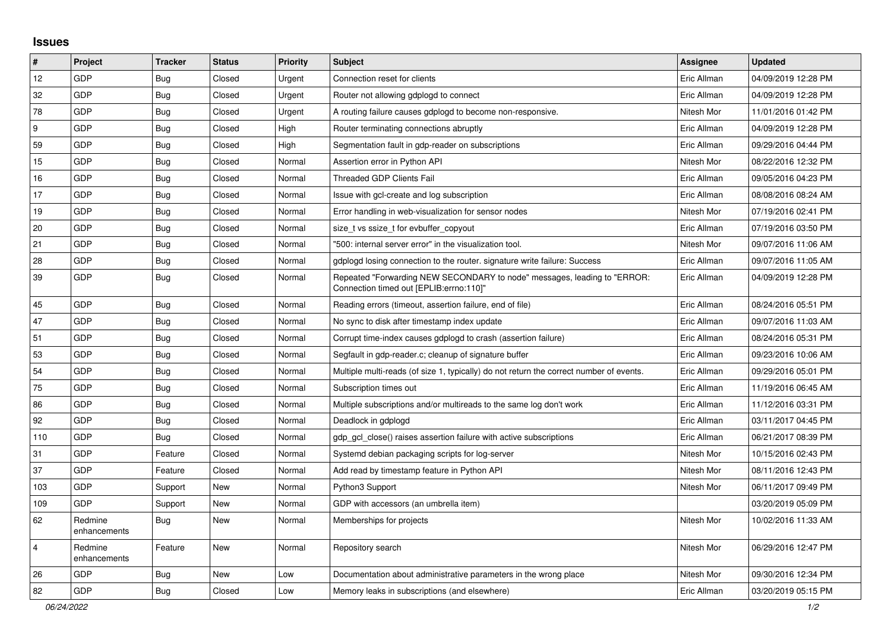## **Issues**

| $\vert$ #      | Project                 | <b>Tracker</b> | <b>Status</b> | <b>Priority</b> | <b>Subject</b>                                                                                                      | <b>Assignee</b> | <b>Updated</b>      |
|----------------|-------------------------|----------------|---------------|-----------------|---------------------------------------------------------------------------------------------------------------------|-----------------|---------------------|
| 12             | GDP                     | Bug            | Closed        | Urgent          | Connection reset for clients                                                                                        | Eric Allman     | 04/09/2019 12:28 PM |
| 32             | GDP                     | Bug            | Closed        | Urgent          | Router not allowing gdplogd to connect                                                                              | Eric Allman     | 04/09/2019 12:28 PM |
| 78             | GDP                     | <b>Bug</b>     | Closed        | Urgent          | A routing failure causes gdplogd to become non-responsive.                                                          | Nitesh Mor      | 11/01/2016 01:42 PM |
| 9              | GDP                     | Bug            | Closed        | High            | Router terminating connections abruptly                                                                             | Eric Allman     | 04/09/2019 12:28 PM |
| 59             | GDP                     | Bug            | Closed        | High            | Segmentation fault in gdp-reader on subscriptions                                                                   | Eric Allman     | 09/29/2016 04:44 PM |
| 15             | GDP                     | Bug            | Closed        | Normal          | Assertion error in Python API                                                                                       | Nitesh Mor      | 08/22/2016 12:32 PM |
| 16             | GDP                     | <b>Bug</b>     | Closed        | Normal          | <b>Threaded GDP Clients Fail</b>                                                                                    | Eric Allman     | 09/05/2016 04:23 PM |
| 17             | GDP                     | <b>Bug</b>     | Closed        | Normal          | Issue with gcl-create and log subscription                                                                          | Eric Allman     | 08/08/2016 08:24 AM |
| 19             | GDP                     | <b>Bug</b>     | Closed        | Normal          | Error handling in web-visualization for sensor nodes                                                                | Nitesh Mor      | 07/19/2016 02:41 PM |
| 20             | GDP                     | <b>Bug</b>     | Closed        | Normal          | size_t vs ssize_t for evbuffer_copyout                                                                              | Eric Allman     | 07/19/2016 03:50 PM |
| 21             | GDP                     | <b>Bug</b>     | Closed        | Normal          | '500: internal server error" in the visualization tool.                                                             | Nitesh Mor      | 09/07/2016 11:06 AM |
| 28             | GDP                     | Bug            | Closed        | Normal          | gdplogd losing connection to the router. signature write failure: Success                                           | Eric Allman     | 09/07/2016 11:05 AM |
| 39             | GDP                     | Bug            | Closed        | Normal          | Repeated "Forwarding NEW SECONDARY to node" messages, leading to "ERROR:<br>Connection timed out [EPLIB:errno:110]" | Eric Allman     | 04/09/2019 12:28 PM |
| 45             | GDP                     | <b>Bug</b>     | Closed        | Normal          | Reading errors (timeout, assertion failure, end of file)                                                            | Eric Allman     | 08/24/2016 05:51 PM |
| 47             | GDP                     | <b>Bug</b>     | Closed        | Normal          | No sync to disk after timestamp index update                                                                        | Eric Allman     | 09/07/2016 11:03 AM |
| 51             | GDP                     | Bug            | Closed        | Normal          | Corrupt time-index causes gdplogd to crash (assertion failure)                                                      | Eric Allman     | 08/24/2016 05:31 PM |
| 53             | GDP                     | <b>Bug</b>     | Closed        | Normal          | Segfault in gdp-reader.c; cleanup of signature buffer                                                               | Eric Allman     | 09/23/2016 10:06 AM |
| 54             | GDP                     | Bug            | Closed        | Normal          | Multiple multi-reads (of size 1, typically) do not return the correct number of events.                             | Eric Allman     | 09/29/2016 05:01 PM |
| 75             | GDP                     | <b>Bug</b>     | Closed        | Normal          | Subscription times out                                                                                              | Eric Allman     | 11/19/2016 06:45 AM |
| 86             | GDP                     | Bug            | Closed        | Normal          | Multiple subscriptions and/or multireads to the same log don't work                                                 | Eric Allman     | 11/12/2016 03:31 PM |
| 92             | GDP                     | <b>Bug</b>     | Closed        | Normal          | Deadlock in gdplogd                                                                                                 | Eric Allman     | 03/11/2017 04:45 PM |
| 110            | GDP                     | Bug            | Closed        | Normal          | gdp gcl close() raises assertion failure with active subscriptions                                                  | Eric Allman     | 06/21/2017 08:39 PM |
| 31             | GDP                     | Feature        | Closed        | Normal          | Systemd debian packaging scripts for log-server                                                                     | Nitesh Mor      | 10/15/2016 02:43 PM |
| 37             | GDP                     | Feature        | Closed        | Normal          | Add read by timestamp feature in Python API                                                                         | Nitesh Mor      | 08/11/2016 12:43 PM |
| 103            | GDP                     | Support        | New           | Normal          | Python3 Support                                                                                                     | Nitesh Mor      | 06/11/2017 09:49 PM |
| 109            | GDP                     | Support        | New           | Normal          | GDP with accessors (an umbrella item)                                                                               |                 | 03/20/2019 05:09 PM |
| 62             | Redmine<br>enhancements | <b>Bug</b>     | New           | Normal          | Memberships for projects                                                                                            | Nitesh Mor      | 10/02/2016 11:33 AM |
| $\overline{4}$ | Redmine<br>enhancements | Feature        | New           | Normal          | Repository search                                                                                                   | Nitesh Mor      | 06/29/2016 12:47 PM |
| 26             | GDP                     | Bug            | New           | Low             | Documentation about administrative parameters in the wrong place                                                    | Nitesh Mor      | 09/30/2016 12:34 PM |
| 82             | GDP                     | Bug            | Closed        | Low             | Memory leaks in subscriptions (and elsewhere)                                                                       | Eric Allman     | 03/20/2019 05:15 PM |